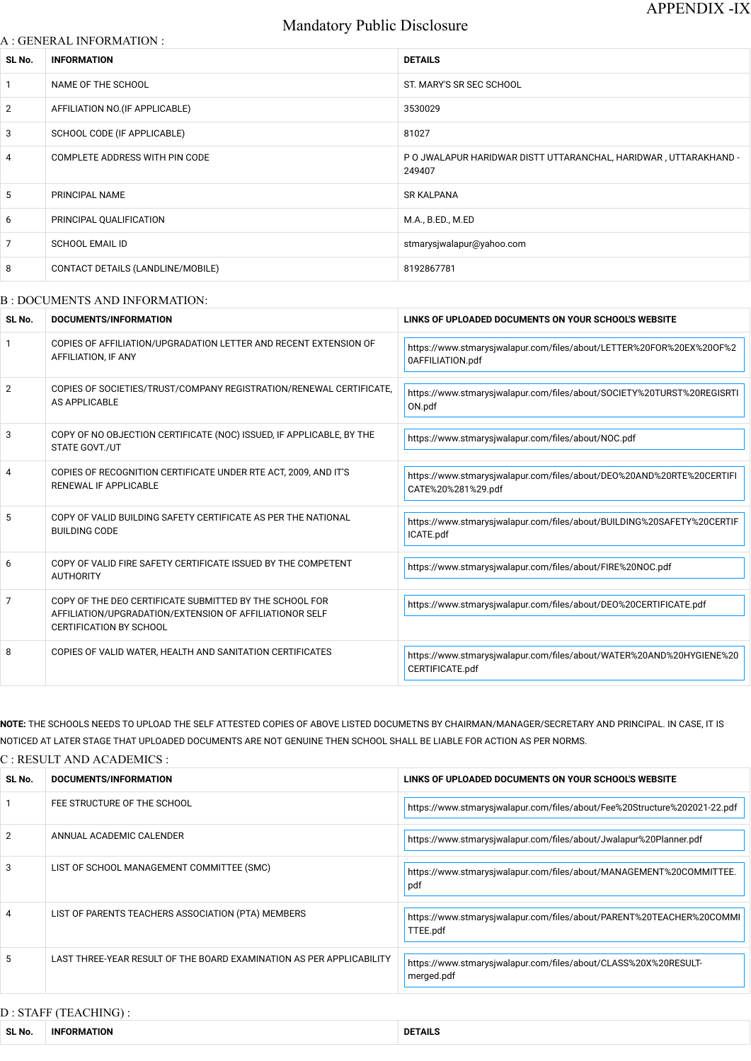# Mandatory Public Disclosure

### A : GENERAL INFORMATION :

| SL No.         | <b>INFORMATION</b>                | <b>DETAILS</b>                                                             |
|----------------|-----------------------------------|----------------------------------------------------------------------------|
| 1              | NAME OF THE SCHOOL                | ST. MARY'S SR SEC SCHOOL                                                   |
| $\overline{2}$ | AFFILIATION NO. (IF APPLICABLE)   | 3530029                                                                    |
| 3              | SCHOOL CODE (IF APPLICABLE)       | 81027                                                                      |
| $\overline{4}$ | COMPLETE ADDRESS WITH PIN CODE    | P O JWALAPUR HARIDWAR DISTT UTTARANCHAL, HARIDWAR, UTTARAKHAND -<br>249407 |
| 5              | PRINCIPAL NAME                    | <b>SR KALPANA</b>                                                          |
| 6              | PRINCIPAL QUALIFICATION           | M.A., B.ED., M.ED                                                          |
| $\overline{7}$ | <b>SCHOOL EMAIL ID</b>            | stmarysjwalapur@yahoo.com                                                  |
| 8              | CONTACT DETAILS (LANDLINE/MOBILE) | 8192867781                                                                 |
|                |                                   |                                                                            |

### B : DOCUMENTS AND INFORMATION:

| SL No. | <b>DOCUMENTS/INFORMATION</b>                                                                                                                         | LINKS OF UPLOADED DOCUMENTS ON YOUR SCHOOL'S WEBSITE                                        |  |
|--------|------------------------------------------------------------------------------------------------------------------------------------------------------|---------------------------------------------------------------------------------------------|--|
|        | COPIES OF AFFILIATION/UPGRADATION LETTER AND RECENT EXTENSION OF<br>AFFILIATION, IF ANY                                                              | https://www.stmarysjwalapur.com/files/about/LETTER%20FOR%20EX%20OF%2<br>0AFFILIATION.pdf    |  |
| 2      | COPIES OF SOCIETIES/TRUST/COMPANY REGISTRATION/RENEWAL CERTIFICATE,<br>AS APPLICABLE                                                                 | https://www.stmarysjwalapur.com/files/about/SOCIETY%20TURST%20REGISRTI<br>ON.pdf            |  |
| 3      | COPY OF NO OBJECTION CERTIFICATE (NOC) ISSUED, IF APPLICABLE, BY THE<br><b>STATE GOVT./UT</b>                                                        | https://www.stmarysjwalapur.com/files/about/NOC.pdf                                         |  |
| 4      | COPIES OF RECOGNITION CERTIFICATE UNDER RTE ACT, 2009, AND IT'S<br>RENEWAL IF APPLICABLE                                                             | https://www.stmarysjwalapur.com/files/about/DEO%20AND%20RTE%20CERTIFI<br>CATE%20%281%29.pdf |  |
| 5      | COPY OF VALID BUILDING SAFETY CERTIFICATE AS PER THE NATIONAL<br><b>BUILDING CODE</b>                                                                | https://www.stmarysjwalapur.com/files/about/BUILDING%20SAFETY%20CERTIF<br>ICATE.pdf         |  |
| 6      | COPY OF VALID FIRE SAFETY CERTIFICATE ISSUED BY THE COMPETENT<br><b>AUTHORITY</b>                                                                    | https://www.stmarysjwalapur.com/files/about/FIRE%20NOC.pdf                                  |  |
| 7      | COPY OF THE DEO CERTIFICATE SUBMITTED BY THE SCHOOL FOR<br>AFFILIATION/UPGRADATION/EXTENSION OF AFFILIATIONOR SELF<br><b>CERTIFICATION BY SCHOOL</b> | https://www.stmarysjwalapur.com/files/about/DEO%20CERTIFICATE.pdf                           |  |
| 8      | COPIES OF VALID WATER, HEALTH AND SANITATION CERTIFICATES                                                                                            | https://www.stmarysjwalapur.com/files/about/WATER%20AND%20HYGIENE%20<br>CERTIFICATE.pdf     |  |

|                | FEE STRUCTURE OF THE SCHOOL                                          | https://www.stmarysjwalapur.com/files/about/Fee%20Structure%202021-22.pdf        |
|----------------|----------------------------------------------------------------------|----------------------------------------------------------------------------------|
| $\overline{2}$ | ANNUAL ACADEMIC CALENDER                                             | https://www.stmarysjwalapur.com/files/about/Jwalapur%20Planner.pdf               |
| 3              | LIST OF SCHOOL MANAGEMENT COMMITTEE (SMC)                            | https://www.stmarysjwalapur.com/files/about/MANAGEMENT%20COMMITTEE.<br>pdf       |
| 4              | LIST OF PARENTS TEACHERS ASSOCIATION (PTA) MEMBERS                   | https://www.stmarysjwalapur.com/files/about/PARENT%20TEACHER%20COMMI<br>TTEE.pdf |
| 5              | LAST THREE-YEAR RESULT OF THE BOARD EXAMINATION AS PER APPLICABILITY | https://www.stmarysjwalapur.com/files/about/CLASS%20X%20RESULT-<br>merged.pdf    |

# D : STAFF (TEACHING) :

**NOTE:** THE SCHOOLS NEEDS TO UPLOAD THE SELF ATTESTED COPIES OF ABOVE LISTED DOCUMETNS BY CHAIRMAN/MANAGER/SECRETARY AND PRINCIPAL. IN CASE, IT IS NOTICED AT LATER STAGE THAT UPLOADED DOCUMENTS ARE NOT GENUINE THEN SCHOOL SHALL BE LIABLE FOR ACTION AS PER NORMS.

#### C : RESULT AND ACADEMICS :

| SL No. | <b>'TS/INFORMATION</b><br>-nor<br>CUMEN | <b>LINKS</b><br>" 'S OF UPLOADED DOCUMENTS ON YOUR SCHOOL. |  |
|--------|-----------------------------------------|------------------------------------------------------------|--|
|        |                                         |                                                            |  |
|        | FEE ATBUATURE AF TUE AAUAAU             |                                                            |  |